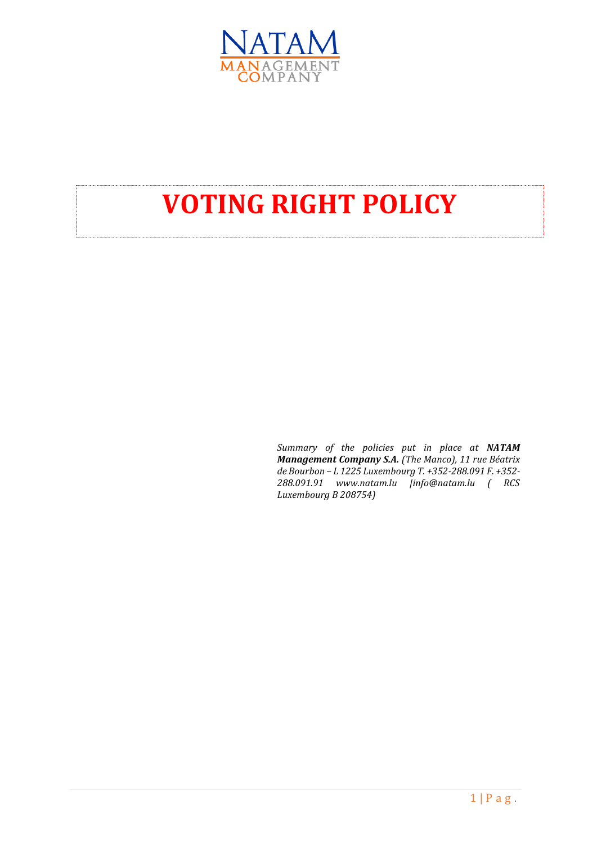

## **VOTING RIGHT POLICY**

*Summary of the policies put in place at NATAM Management Company S.A. (The Manco), 11 rue Béatrix de Bourbon – L 1225 Luxembourg T. +352-288.091 F. +352- 288.091.91 www.natam.lu |info@natam.lu ( RCS Luxembourg B 208754)*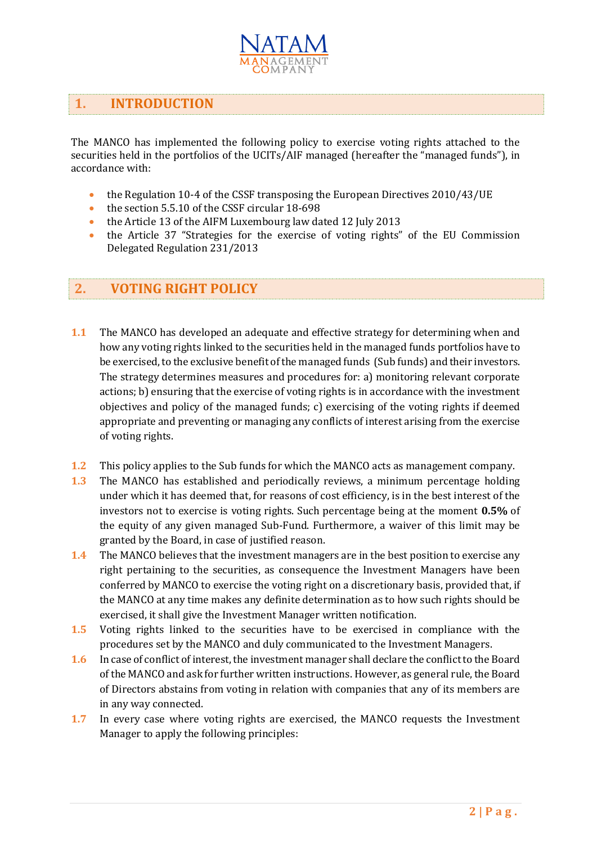

## **1. INTRODUCTION**

The MANCO has implemented the following policy to exercise voting rights attached to the securities held in the portfolios of the UCITs/AIF managed (hereafter the "managed funds"), in accordance with:

- the Regulation 10-4 of the CSSF transposing the European Directives 2010/43/UE
- the section 5.5.10 of the CSSF circular 18-698
- the Article 13 of the AIFM Luxembourg law dated 12 July 2013
- the Article 37 "Strategies for the exercise of voting rights" of the EU Commission Delegated Regulation 231/2013

## **2. VOTING RIGHT POLICY**

- **1.1** The MANCO has developed an adequate and effective strategy for determining when and how any voting rights linked to the securities held in the managed funds portfolios have to be exercised, to the exclusive benefit of the managed funds (Sub funds) and their investors. The strategy determines measures and procedures for: a) monitoring relevant corporate actions; b) ensuring that the exercise of voting rights is in accordance with the investment objectives and policy of the managed funds; c) exercising of the voting rights if deemed appropriate and preventing or managing any conflicts of interest arising from the exercise of voting rights.
- **1.2** This policy applies to the Sub funds for which the MANCO acts as management company.
- **1.3** The MANCO has established and periodically reviews, a minimum percentage holding under which it has deemed that, for reasons of cost efficiency, is in the best interest of the investors not to exercise is voting rights. Such percentage being at the moment **0.5%** of the equity of any given managed Sub-Fund. Furthermore, a waiver of this limit may be granted by the Board, in case of justified reason.
- **1.4** The MANCO believes that the investment managers are in the best position to exercise any right pertaining to the securities, as consequence the Investment Managers have been conferred by MANCO to exercise the voting right on a discretionary basis, provided that, if the MANCO at any time makes any definite determination as to how such rights should be exercised, it shall give the Investment Manager written notification.
- **1.5** Voting rights linked to the securities have to be exercised in compliance with the procedures set by the MANCO and duly communicated to the Investment Managers.
- **1.6** In case of conflict of interest, the investment manager shall declare the conflict to the Board of the MANCO and ask for further written instructions. However, as general rule, the Board of Directors abstains from voting in relation with companies that any of its members are in any way connected.
- **1.7** In every case where voting rights are exercised, the MANCO requests the Investment Manager to apply the following principles: